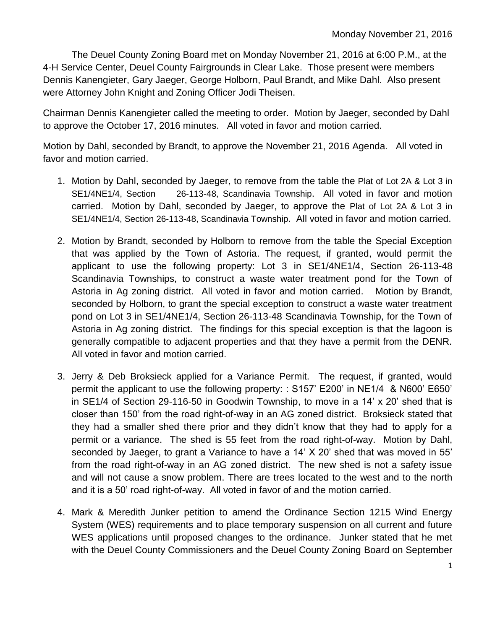The Deuel County Zoning Board met on Monday November 21, 2016 at 6:00 P.M., at the 4-H Service Center, Deuel County Fairgrounds in Clear Lake. Those present were members Dennis Kanengieter, Gary Jaeger, George Holborn, Paul Brandt, and Mike Dahl. Also present were Attorney John Knight and Zoning Officer Jodi Theisen.

Chairman Dennis Kanengieter called the meeting to order. Motion by Jaeger, seconded by Dahl to approve the October 17, 2016 minutes. All voted in favor and motion carried.

Motion by Dahl, seconded by Brandt, to approve the November 21, 2016 Agenda. All voted in favor and motion carried.

- 1. Motion by Dahl, seconded by Jaeger, to remove from the table the Plat of Lot 2A & Lot 3 in SE1/4NE1/4, Section 26-113-48, Scandinavia Township. All voted in favor and motion carried. Motion by Dahl, seconded by Jaeger, to approve the Plat of Lot 2A & Lot 3 in SE1/4NE1/4, Section 26-113-48, Scandinavia Township. All voted in favor and motion carried.
- 2. Motion by Brandt, seconded by Holborn to remove from the table the Special Exception that was applied by the Town of Astoria. The request, if granted, would permit the applicant to use the following property: Lot 3 in SE1/4NE1/4, Section 26-113-48 Scandinavia Townships, to construct a waste water treatment pond for the Town of Astoria in Ag zoning district. All voted in favor and motion carried. Motion by Brandt, seconded by Holborn, to grant the special exception to construct a waste water treatment pond on Lot 3 in SE1/4NE1/4, Section 26-113-48 Scandinavia Township, for the Town of Astoria in Ag zoning district. The findings for this special exception is that the lagoon is generally compatible to adjacent properties and that they have a permit from the DENR. All voted in favor and motion carried.
- 3. Jerry & Deb Broksieck applied for a Variance Permit. The request, if granted, would permit the applicant to use the following property: : S157' E200' in NE1/4 & N600' E650' in SE1/4 of Section 29-116-50 in Goodwin Township, to move in a 14' x 20' shed that is closer than 150' from the road right-of-way in an AG zoned district. Broksieck stated that they had a smaller shed there prior and they didn't know that they had to apply for a permit or a variance. The shed is 55 feet from the road right-of-way. Motion by Dahl, seconded by Jaeger, to grant a Variance to have a 14' X 20' shed that was moved in 55' from the road right-of-way in an AG zoned district. The new shed is not a safety issue and will not cause a snow problem. There are trees located to the west and to the north and it is a 50' road right-of-way. All voted in favor of and the motion carried.
- 4. Mark & Meredith Junker petition to amend the Ordinance Section 1215 Wind Energy System (WES) requirements and to place temporary suspension on all current and future WES applications until proposed changes to the ordinance. Junker stated that he met with the Deuel County Commissioners and the Deuel County Zoning Board on September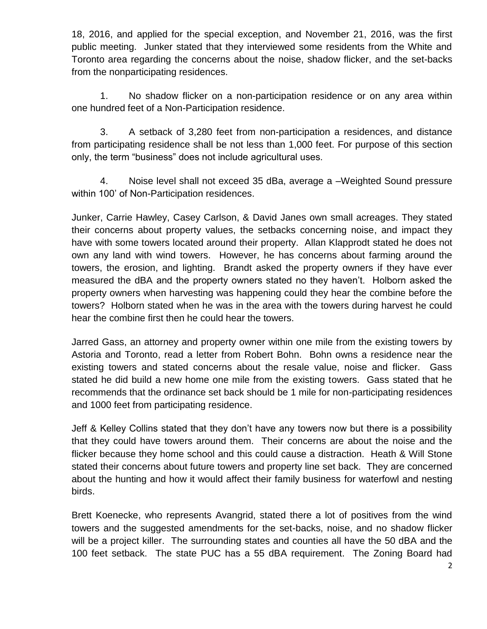18, 2016, and applied for the special exception, and November 21, 2016, was the first public meeting. Junker stated that they interviewed some residents from the White and Toronto area regarding the concerns about the noise, shadow flicker, and the set-backs from the nonparticipating residences.

1. No shadow flicker on a non-participation residence or on any area within one hundred feet of a Non-Participation residence.

3. A setback of 3,280 feet from non-participation a residences, and distance from participating residence shall be not less than 1,000 feet. For purpose of this section only, the term "business" does not include agricultural uses.

4. Noise level shall not exceed 35 dBa, average a –Weighted Sound pressure within 100' of Non-Participation residences.

Junker, Carrie Hawley, Casey Carlson, & David Janes own small acreages. They stated their concerns about property values, the setbacks concerning noise, and impact they have with some towers located around their property. Allan Klapprodt stated he does not own any land with wind towers. However, he has concerns about farming around the towers, the erosion, and lighting. Brandt asked the property owners if they have ever measured the dBA and the property owners stated no they haven't. Holborn asked the property owners when harvesting was happening could they hear the combine before the towers? Holborn stated when he was in the area with the towers during harvest he could hear the combine first then he could hear the towers.

Jarred Gass, an attorney and property owner within one mile from the existing towers by Astoria and Toronto, read a letter from Robert Bohn. Bohn owns a residence near the existing towers and stated concerns about the resale value, noise and flicker. Gass stated he did build a new home one mile from the existing towers. Gass stated that he recommends that the ordinance set back should be 1 mile for non-participating residences and 1000 feet from participating residence.

Jeff & Kelley Collins stated that they don't have any towers now but there is a possibility that they could have towers around them. Their concerns are about the noise and the flicker because they home school and this could cause a distraction. Heath & Will Stone stated their concerns about future towers and property line set back. They are concerned about the hunting and how it would affect their family business for waterfowl and nesting birds.

Brett Koenecke, who represents Avangrid, stated there a lot of positives from the wind towers and the suggested amendments for the set-backs, noise, and no shadow flicker will be a project killer. The surrounding states and counties all have the 50 dBA and the 100 feet setback. The state PUC has a 55 dBA requirement. The Zoning Board had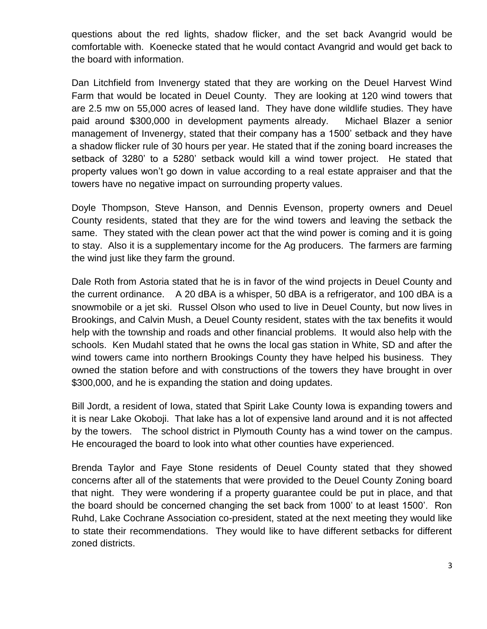questions about the red lights, shadow flicker, and the set back Avangrid would be comfortable with. Koenecke stated that he would contact Avangrid and would get back to the board with information.

Dan Litchfield from Invenergy stated that they are working on the Deuel Harvest Wind Farm that would be located in Deuel County. They are looking at 120 wind towers that are 2.5 mw on 55,000 acres of leased land. They have done wildlife studies. They have paid around \$300,000 in development payments already. Michael Blazer a senior management of Invenergy, stated that their company has a 1500' setback and they have a shadow flicker rule of 30 hours per year. He stated that if the zoning board increases the setback of 3280' to a 5280' setback would kill a wind tower project. He stated that property values won't go down in value according to a real estate appraiser and that the towers have no negative impact on surrounding property values.

Doyle Thompson, Steve Hanson, and Dennis Evenson, property owners and Deuel County residents, stated that they are for the wind towers and leaving the setback the same. They stated with the clean power act that the wind power is coming and it is going to stay. Also it is a supplementary income for the Ag producers. The farmers are farming the wind just like they farm the ground.

Dale Roth from Astoria stated that he is in favor of the wind projects in Deuel County and the current ordinance. A 20 dBA is a whisper, 50 dBA is a refrigerator, and 100 dBA is a snowmobile or a jet ski. Russel Olson who used to live in Deuel County, but now lives in Brookings, and Calvin Mush, a Deuel County resident, states with the tax benefits it would help with the township and roads and other financial problems. It would also help with the schools. Ken Mudahl stated that he owns the local gas station in White, SD and after the wind towers came into northern Brookings County they have helped his business. They owned the station before and with constructions of the towers they have brought in over \$300,000, and he is expanding the station and doing updates.

Bill Jordt, a resident of Iowa, stated that Spirit Lake County Iowa is expanding towers and it is near Lake Okoboji. That lake has a lot of expensive land around and it is not affected by the towers. The school district in Plymouth County has a wind tower on the campus. He encouraged the board to look into what other counties have experienced.

Brenda Taylor and Faye Stone residents of Deuel County stated that they showed concerns after all of the statements that were provided to the Deuel County Zoning board that night. They were wondering if a property guarantee could be put in place, and that the board should be concerned changing the set back from 1000' to at least 1500'. Ron Ruhd, Lake Cochrane Association co-president, stated at the next meeting they would like to state their recommendations. They would like to have different setbacks for different zoned districts.